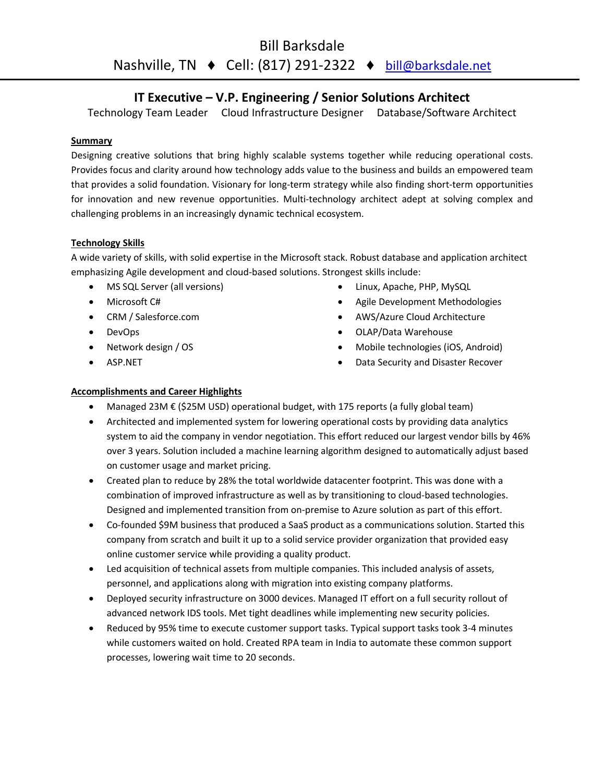# IT Executive – V.P. Engineering / Senior Solutions Architect

Technology Team Leader Cloud Infrastructure Designer Database/Software Architect

## **Summary**

Designing creative solutions that bring highly scalable systems together while reducing operational costs. Provides focus and clarity around how technology adds value to the business and builds an empowered team that provides a solid foundation. Visionary for long-term strategy while also finding short-term opportunities for innovation and new revenue opportunities. Multi-technology architect adept at solving complex and challenging problems in an increasingly dynamic technical ecosystem.

# Technology Skills

A wide variety of skills, with solid expertise in the Microsoft stack. Robust database and application architect emphasizing Agile development and cloud-based solutions. Strongest skills include:

- MS SQL Server (all versions)
- Microsoft C#
- CRM / Salesforce.com
- DevOps
- Network design / OS
- ASP.NET
- Linux, Apache, PHP, MySQL
- Agile Development Methodologies
- AWS/Azure Cloud Architecture
- OLAP/Data Warehouse
- Mobile technologies (iOS, Android)
- Data Security and Disaster Recover

# Accomplishments and Career Highlights

- Managed 23M € (\$25M USD) operational budget, with 175 reports (a fully global team)
- Architected and implemented system for lowering operational costs by providing data analytics system to aid the company in vendor negotiation. This effort reduced our largest vendor bills by 46% over 3 years. Solution included a machine learning algorithm designed to automatically adjust based on customer usage and market pricing.
- Created plan to reduce by 28% the total worldwide datacenter footprint. This was done with a combination of improved infrastructure as well as by transitioning to cloud-based technologies. Designed and implemented transition from on-premise to Azure solution as part of this effort.
- Co-founded \$9M business that produced a SaaS product as a communications solution. Started this company from scratch and built it up to a solid service provider organization that provided easy online customer service while providing a quality product.
- Led acquisition of technical assets from multiple companies. This included analysis of assets, personnel, and applications along with migration into existing company platforms.
- Deployed security infrastructure on 3000 devices. Managed IT effort on a full security rollout of advanced network IDS tools. Met tight deadlines while implementing new security policies.
- Reduced by 95% time to execute customer support tasks. Typical support tasks took 3-4 minutes while customers waited on hold. Created RPA team in India to automate these common support processes, lowering wait time to 20 seconds.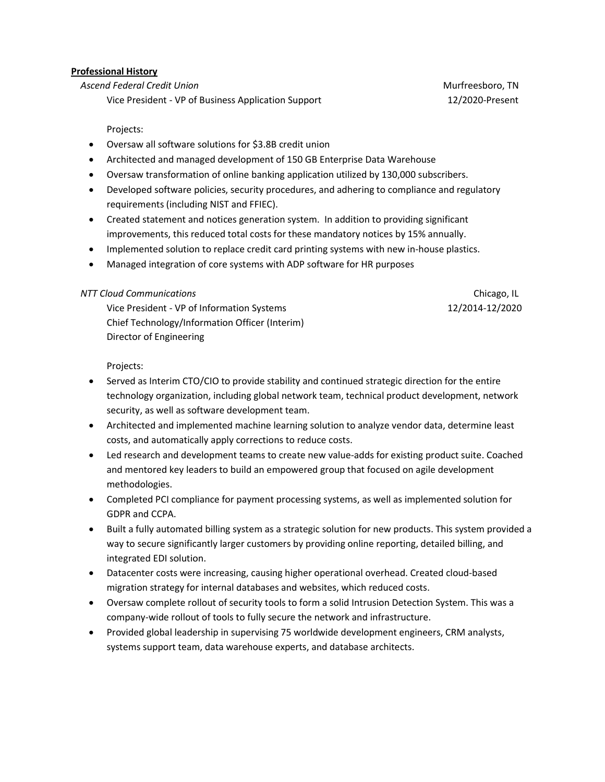#### Professional History

Ascend Federal Credit Union Murfreesboro, TN

Vice President - VP of Business Application Support 12/2020-Present

#### Projects:

- Oversaw all software solutions for \$3.8B credit union
- Architected and managed development of 150 GB Enterprise Data Warehouse
- Oversaw transformation of online banking application utilized by 130,000 subscribers.
- Developed software policies, security procedures, and adhering to compliance and regulatory requirements (including NIST and FFIEC).
- Created statement and notices generation system. In addition to providing significant improvements, this reduced total costs for these mandatory notices by 15% annually.
- Implemented solution to replace credit card printing systems with new in-house plastics.
- Managed integration of core systems with ADP software for HR purposes

### NTT Cloud Communications Chicago, IL

Vice President - VP of Information Systems 12/2014-12/2020 Chief Technology/Information Officer (Interim) Director of Engineering

Projects:

- Served as Interim CTO/CIO to provide stability and continued strategic direction for the entire technology organization, including global network team, technical product development, network security, as well as software development team.
- Architected and implemented machine learning solution to analyze vendor data, determine least costs, and automatically apply corrections to reduce costs.
- Led research and development teams to create new value-adds for existing product suite. Coached and mentored key leaders to build an empowered group that focused on agile development methodologies.
- Completed PCI compliance for payment processing systems, as well as implemented solution for GDPR and CCPA.
- Built a fully automated billing system as a strategic solution for new products. This system provided a way to secure significantly larger customers by providing online reporting, detailed billing, and integrated EDI solution.
- Datacenter costs were increasing, causing higher operational overhead. Created cloud-based migration strategy for internal databases and websites, which reduced costs.
- Oversaw complete rollout of security tools to form a solid Intrusion Detection System. This was a company-wide rollout of tools to fully secure the network and infrastructure.
- Provided global leadership in supervising 75 worldwide development engineers, CRM analysts, systems support team, data warehouse experts, and database architects.